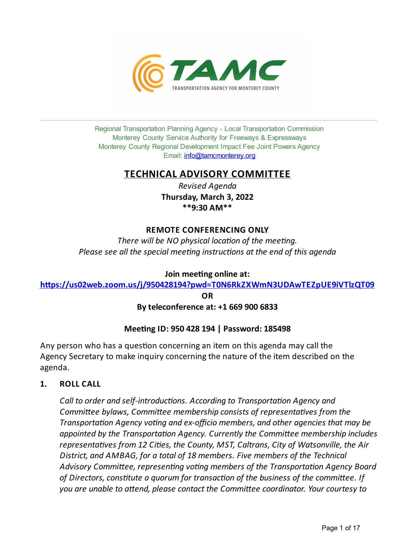

Regional Transportation Planning Agency - Local Transportation Commission Monterey County Service Authority for Freeways & Expressways Monterey County Regional Development Impact Fee Joint Powers Agency Email: *[info@tamcmonterey.org](file:///C:/Windows/TEMP/info@tamcmonterey.org)* 

## **TECHNICAL ADVISORY COMMITTEE**

*Revised Agenda* **Thursday, March 3, 2022 \*\*9:30 AM\*\***

## **REMOTE CONFERENCING ONLY**

*There* will be NO physical location of the meeting. *Please see all the special meeng instrucons at the end of this agenda*

## **Join** meeting online at:

**[h,ps://us02web.zoom.us/j/950428194?pwd=T0N6RkZXWmN3UDAwTEZpUE9iVTlzQT09](https://us02web.zoom.us/j/950428194?pwd=T0N6RkZXWmN3UDAwTEZpUE9iVTlzQT09)**

**OR**

### **Byteleconference at: +1 669 900 6833**

## **Meeting ID: 950 428 194 | Password: 185498**

Any person who has a question concerning an item on this agenda may call the Agency Secretary to make inquiry concerning the nature of the item described on the agenda.

## **1. ROLL CALL**

*Call* to *order* and *self-introductions. According* to *Transportation Agency and Committee bylaws, Committee membership consists of representatives from the Transportation Agency voting and ex-officio members,* and *other agencies that may be appointed by the Transportation Agency. Currently the Committee membership includes representaves from 12 Cies, the County, MST, Caltrans, City of Watsonville, the Air District, and AMBAG, for a total of 18 members. Five members of the Technical* Advisory Committee, representing voting members of the Transportation Agency Board *of Directors,constute a quorum for transacon of the business of the commi!ee. If you are unable to a!end, please contact the Commi!ee coordinator. Your courtesy to*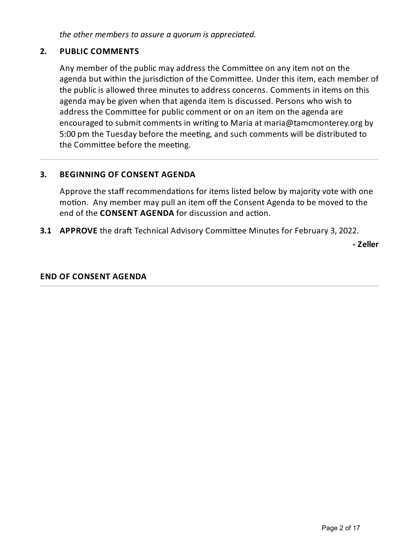*the other members to assure a quorum is appreciated.*

## **2. PUBLIC COMMENTS**

Any member of the public may address the Committee on any item not on the agenda but within the jurisdiction of the Committee. Under this item, each member of the public is allowed three minutes to address concerns. Comments in items on this agenda may be given when that agenda item is discussed. Persons who wish to address the Committee for public comment or on an item on the agenda are encouraged to submit comments in writing to Maria at maria@tamcmonterey.org by 5:00 pm the Tuesday before the meeting, and such comments will be distributed to the Committee before the meeting.

## **3. BEGINNING OF CONSENT AGENDA**

Approve the staff recommendations for items listed below by majority vote with one motion. Any member may pull an item off the Consent Agenda to be moved to the end of the **CONSENT AGENDA** for discussion and action.

**3.1 APPROVE** the draft Technical Advisory Committee Minutes for February 3, 2022.

**- Zeller**

## **END OF CONSENT AGENDA**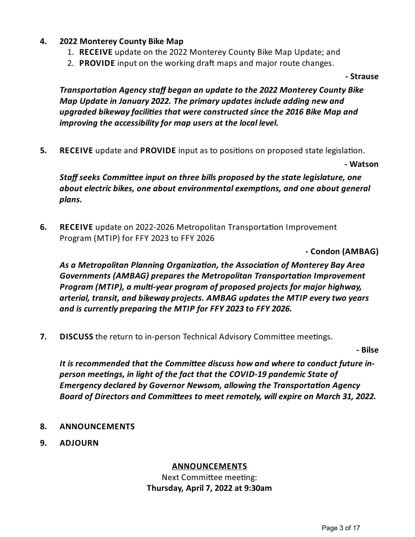- **4. 2022 Monterey County Bike Map**
	- 1. **RECEIVE** update on the 2022 Monterey County Bike Map Update;and
	- 2. **PROVIDE** input on the working draft maps and major route changes.

**- Strause**

*Transporta on Agencystaff began an updateto the 2022 Monterey County Bike Map Updatein January 2022. The primary updates include adding new and upgraded bikewayfacili es that wereconstructed sincethe 2016 Bike Map and improving* the *accessibility* for *map users* at the local level.

**5. RECEIVE** update and **PROVIDE** input as to positions on proposed state legislation.

**- Watson**

*Staff seeks Commi'eeinput on three bills proposed bythestatelegislature, one about electric bikes, one about environmental exemptions, and one about general plans.*

**6.** RECEIVE update on 2022-2026 Metropolitan Transportation Improvement Program (MTIP) for FFY 2023 to FFY 2026

**- Condon (AMBAG)**

*As a Metropolitan Planning Organiza on, the Associa on of Monterey Bay Area Governments (AMBAG) prepares the Metropolitan Transporta on Improvement Program (MTIP), a mul -year program of proposed projects for major highway, arterial, transit, and bikeway projects. AMBAG updates the MTIP everytwo years and is currently preparing the MTIP for FFY 2023 to FFY 2026.*

**7. DISCUSS** the return to in-person Technical Advisory Committee meetings.

**- Bilse**

It is recommended that the Committee discuss how and where to conduct future in*person mee ngs, in light of thefact that the COVID-19 pandemic State of Emergency declared by Governor Newsom, allowing the Transportation Agency Board of Directors and Commi'ees to meet remotely, willexpire on March 31, 2022.*

- **8. ANNOUNCEMENTS**
- **9. ADJOURN**

### **ANNOUNCEMENTS**

Next Committee meeting: **Thursday, April 7, 2022 at 9:30am**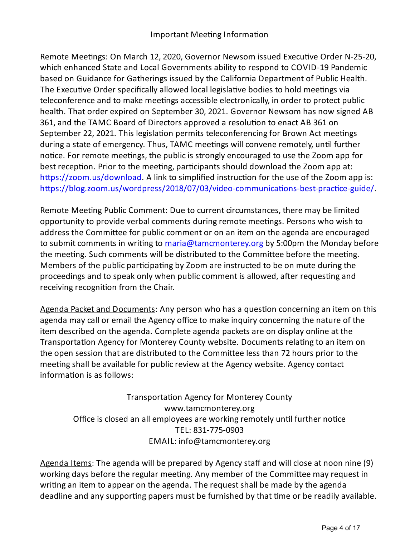## Important Meeting Information

Remote Meetings: On March 12, 2020, Governor Newsom issued Executive Order N-25-20, which enhanced State and Local Governments ability to respond to COVID-19 Pandemic based on Guidance for Gatherings issued by the California Department of Public Health. The Executive Order specifically allowed local legislative bodies to hold meetings via teleconference and to make meetings accessible electronically, in order to protect public health. That order expired on September 30, 2021. Governor Newsom has now signed AB 361, and the TAMC Board of Directors approved a resolution to enact AB 361 on September 22, 2021. This legislation permits teleconferencing for Brown Act meetings during a state of emergency. Thus, TAMC meetings will convene remotely, until further notice. For remote meetings, the public is strongly encouraged to use the Zoom app for best reception. Prior to the meeting, participants should download the Zoom app at: https://zoom.us/download</u>. A link to simplified instruction for the use of the Zoom app is: https://blog.zoom.us/wordpress/2018/07/03/video-communications-best-practice-guide/

Remote Meeting Public Comment: Due to current circumstances, there may be limited opportunity to provide verbal comments during remote meetings. Persons who wish to address the Committee for public comment or on an item on the agenda are encouraged to submit comments in writing to [maria@tamcmonterey.org](mailto:maria@tamcmonterey.org) by 5:00pm the Monday before the meeting. Such comments will be distributed to the Committee before the meeting. Members of the public participating by Zoom are instructed to be on mute during the proceedings and to speak only when public comment is allowed, after requesting and receiving recognition from the Chair.

Agenda Packet and Documents: Any person who has a question concerning an item on this agenda may call or email the Agency office to make inquiry concerning the nature of the item described on the agenda. Complete agenda packets are on display online at the Transportation Agency for Monterey County website. Documents relating to an item on the open session that are distributed to the Committee less than 72 hours prior to the meeting shall be available for public review at the Agency website. Agency contact information is as follows:

Transportation Agency for Monterey County www.tamcmonterey.org Office is closed an all employees are working remotely until further notice TEL: 831-775-0903 EMAIL: info@tamcmonterey.org

Agenda Items: The agenda will be prepared by Agency staff and will close at noon nine (9) working days before the regular meeting. Any member of the Committee may request in writing an item to appear on the agenda. The request shall be made by the agenda deadline and any supporting papers must be furnished by that time or be readily available.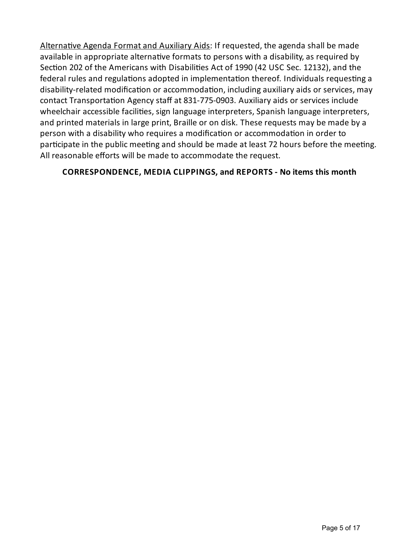Alternative Agenda Format and Auxiliary Aids: If requested, the agenda shall be made available in appropriate alternative formats to persons with a disability, as required by Section 202 of the Americans with Disabilities Act of 1990 (42 USC Sec. 12132), and the federal rules and regulations adopted in implementation thereof. Individuals requesting a disability-related modification or accommodation, including auxiliary aids or services, may contact Transportation Agency staff at 831-775-0903. Auxiliary aids or services include wheelchair accessible facilities, sign language interpreters, Spanish language interpreters, and printed materials in large print, Braille or on disk. These requests may be made bya person with a disability who requires a modification or accommodation in order to participate in the public meeting and should be made at least 72 hours before the meeting. All reasonable efforts will be made to accommodate the request.

## **CORRESPONDENCE, MEDIA CLIPPINGS, and REPORTS - No items this month**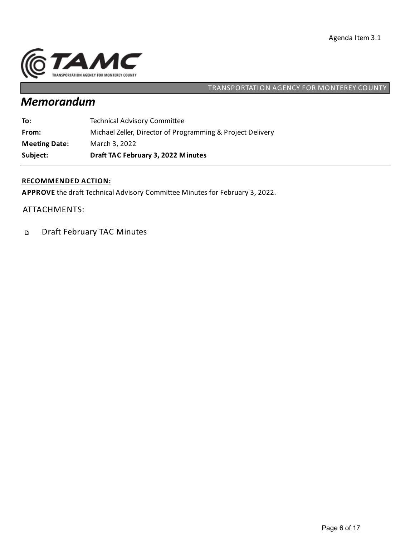

# *Memorandum*

| Subject:             | Draft TAC February 3, 2022 Minutes                         |
|----------------------|------------------------------------------------------------|
| <b>Meeting Date:</b> | March 3, 2022                                              |
| From:                | Michael Zeller, Director of Programming & Project Delivery |
| To:                  | <b>Technical Advisory Committee</b>                        |

#### **RECOMMENDED ACTION:**

APPROVE the draft Technical Advisory Committee Minutes for February 3, 2022.

#### ATTACHMENTS:

Draft February TAC Minutes  $\mathbf{D}$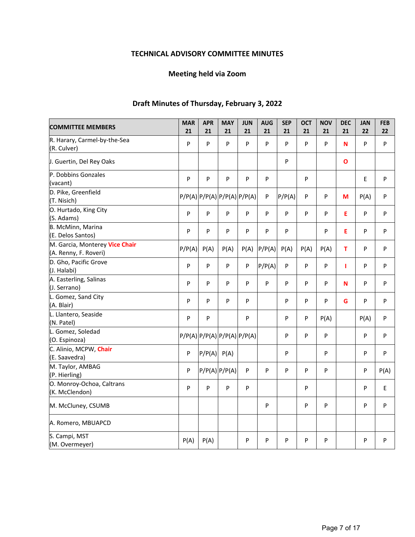## **TECHNICAL ADVISORY COMMITTEE MINUTES**

## **Meeting held via Zoom**

## **Draft Minutes of Thursday, February 3, 2022**

| <b>COMMITTEE MEMBERS</b>                                | <b>MAR</b> | <b>APR</b>      | <b>MAY</b>                  | <b>JUN</b> | <b>AUG</b> | <b>SEP</b> | <b>OCT</b> | <b>NOV</b> | <b>DEC</b>   | <b>JAN</b> | <b>FEB</b> |
|---------------------------------------------------------|------------|-----------------|-----------------------------|------------|------------|------------|------------|------------|--------------|------------|------------|
|                                                         | 21         | 21              | 21                          | 21         | 21         | 21         | 21         | 21         | 21           | 22         | 22         |
| R. Harary, Carmel-by-the-Sea<br>(R. Culver)             | P          | P               | P                           | P          | P          | P          | P          | P          | N            | P          | P          |
| J. Guertin, Del Rey Oaks                                |            |                 |                             |            |            | P          |            |            | $\mathbf{o}$ |            |            |
| P. Dobbins Gonzales<br>(vacant)                         | P          | P               | P                           | P          | P          |            | P          |            |              | E          | P          |
| D. Pike, Greenfield<br>(T. Nisich)                      |            |                 | P/P(A) P/P(A) P/P(A) P/P(A) |            | P          | P/P(A)     | P          | P          | М            | P(A)       | P          |
| O. Hurtado, King City<br>(S. Adams)                     | P          | P               | P                           | P          | P          | P          | P          | P          | Е            | P          | P          |
| B. McMinn, Marina<br>(E. Delos Santos)                  | P          | P               | P                           | P          | P          | P          |            | P          | E            | P          | P          |
| M. Garcia, Monterey Vice Chair<br>(A. Renny, F. Roveri) | P/P(A)     | P(A)            | P(A)                        | P(A)       | P/P(A)     | P(A)       | P(A)       | P(A)       | T            | P          | P          |
| D. Gho, Pacific Grove<br>(J. Halabi)                    | P          | P               | P                           | P          | P/P(A)     | ${\sf P}$  | P          | P          | п            | P          | P          |
| A. Easterling, Salinas<br>(J. Serrano)                  | P          | P               | P                           | P          | P          | P          | P          | P          | N            | P          | P          |
| L. Gomez, Sand City<br>(A. Blair)                       | P          | P               | P                           | P          |            | P          | P          | P          | G            | P          | P          |
| L. Llantero, Seaside<br>(N. Patel)                      | P          | P               |                             | P          |            | P          | P          | P(A)       |              | P(A)       | P          |
| L. Gomez, Soledad<br>(O. Espinoza)                      |            |                 | P/P(A) P/P(A) P/P(A) P/P(A) |            |            | P          | P          | P          |              | P          | P          |
| C. Alinio, MCPW, Chair<br>(E. Saavedra)                 | P          | $P/P(A)$ $P(A)$ |                             |            |            | P          |            | P          |              | P          | P          |
| M. Taylor, AMBAG<br>(P. Hierling)                       | P          |                 | $P/P(A)$ $P/P(A)$           | P          | P          | P          | P          | P          |              | P          | P(A)       |
| O. Monroy-Ochoa, Caltrans<br>(K. McClendon)             | P          | P               | P                           | P          |            |            | P          |            |              | P          | E          |
| M. McCluney, CSUMB                                      |            |                 |                             |            | P          |            | P          | P          |              | P          | P          |
| A. Romero, MBUAPCD                                      |            |                 |                             |            |            |            |            |            |              |            |            |
| S. Campi, MST<br>(M. Overmeyer)                         | P(A)       | P(A)            |                             | P          | P          | P          | P          | P          |              | P          | P          |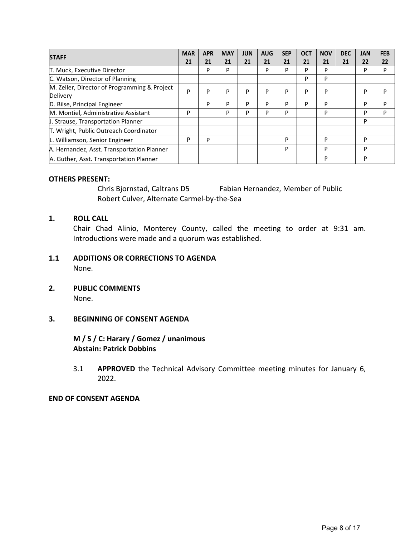| <b>STAFF</b>                                 |   | <b>APR</b> | <b>MAY</b> | <b>JUN</b> | <b>AUG</b> | <b>SEP</b> | <b>OCT</b> | <b>NOV</b> | <b>DEC</b> | <b>JAN</b> | <b>FEB</b> |
|----------------------------------------------|---|------------|------------|------------|------------|------------|------------|------------|------------|------------|------------|
|                                              |   | 21         | 21         | 21         | 21         | 21         | 21         | 21         | 21         | 22         | 22         |
| T. Muck, Executive Director                  |   | P          | P          |            | P          | P          | P          | P          |            | P          | P          |
| C. Watson, Director of Planning              |   |            |            |            |            |            | P          | P          |            |            |            |
| M. Zeller, Director of Programming & Project | P | P          | P          | P          | P          | P          | P          | P          |            | P          | P          |
| Delivery                                     |   |            |            |            |            |            |            |            |            |            |            |
| D. Bilse, Principal Engineer                 |   | P          | P          | P          | D          | P          | P          | P          |            | P          | P          |
| M. Montiel, Administrative Assistant         | P |            | P          | P          | D          | P          |            | P          |            | P          | P          |
| J. Strause, Transportation Planner           |   |            |            |            |            |            |            |            |            | P          |            |
| T. Wright, Public Outreach Coordinator       |   |            |            |            |            |            |            |            |            |            |            |
| L. Williamson, Senior Engineer               | P | P          |            |            |            | P          |            | P          |            | P          |            |
| A. Hernandez, Asst. Transportation Planner   |   |            |            |            |            | P          |            | P          |            | P          |            |
| A. Guther, Asst. Transportation Planner      |   |            |            |            |            |            |            | P          |            | P          |            |

#### **OTHERS PRESENT:**

 Chris Bjornstad, Caltrans D5 Fabian Hernandez, Member of Public Robert Culver, Alternate Carmel‐by‐the‐Sea

#### **1. ROLL CALL**

Chair Chad Alinio, Monterey County, called the meeting to order at 9:31 am. Introductions were made and a quorum was established.

#### **1.1 ADDITIONS OR CORRECTIONS TO AGENDA**  None.

**2. PUBLIC COMMENTS**  None.

#### **3. BEGINNING OF CONSENT AGENDA**

### **M / S / C: Harary / Gomez / unanimous Abstain: Patrick Dobbins**

3.1 **APPROVED** the Technical Advisory Committee meeting minutes for January 6, 2022.

#### **END OF CONSENT AGENDA**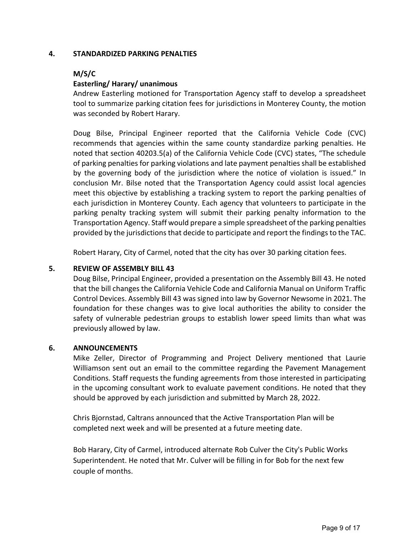#### **4. STANDARDIZED PARKING PENALTIES**

#### **M/S/C**

#### **Easterling/ Harary/ unanimous**

Andrew Easterling motioned for Transportation Agency staff to develop a spreadsheet tool to summarize parking citation fees for jurisdictions in Monterey County, the motion was seconded by Robert Harary.

Doug Bilse, Principal Engineer reported that the California Vehicle Code (CVC) recommends that agencies within the same county standardize parking penalties. He noted that section 40203.5(a) of the California Vehicle Code (CVC) states, "The schedule of parking penalties for parking violations and late payment penalties shall be established by the governing body of the jurisdiction where the notice of violation is issued." In conclusion Mr. Bilse noted that the Transportation Agency could assist local agencies meet this objective by establishing a tracking system to report the parking penalties of each jurisdiction in Monterey County. Each agency that volunteers to participate in the parking penalty tracking system will submit their parking penalty information to the Transportation Agency. Staff would prepare a simple spreadsheet of the parking penalties provided by the jurisdictions that decide to participate and report the findings to the TAC.

Robert Harary, City of Carmel, noted that the city has over 30 parking citation fees.

#### **5. REVIEW OF ASSEMBLY BILL 43**

Doug Bilse, Principal Engineer, provided a presentation on the Assembly Bill 43. He noted that the bill changes the California Vehicle Code and California Manual on Uniform Traffic Control Devices. Assembly Bill 43 was signed into law by Governor Newsome in 2021. The foundation for these changes was to give local authorities the ability to consider the safety of vulnerable pedestrian groups to establish lower speed limits than what was previously allowed by law.

#### **6. ANNOUNCEMENTS**

Mike Zeller, Director of Programming and Project Delivery mentioned that Laurie Williamson sent out an email to the committee regarding the Pavement Management Conditions. Staff requests the funding agreements from those interested in participating in the upcoming consultant work to evaluate pavement conditions. He noted that they should be approved by each jurisdiction and submitted by March 28, 2022.

Chris Bjornstad, Caltrans announced that the Active Transportation Plan will be completed next week and will be presented at a future meeting date.

Bob Harary, City of Carmel, introduced alternate Rob Culver the City's Public Works Superintendent. He noted that Mr. Culver will be filling in for Bob for the next few couple of months.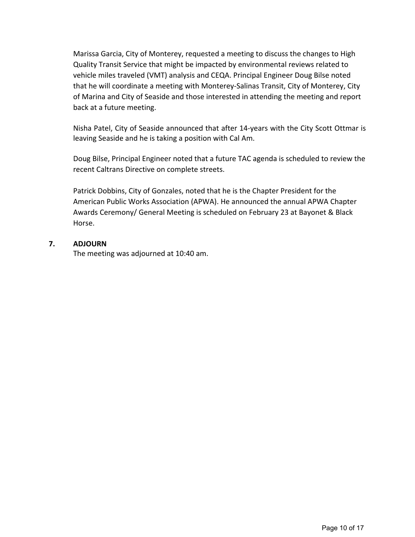Marissa Garcia, City of Monterey, requested a meeting to discuss the changes to High Quality Transit Service that might be impacted by environmental reviews related to vehicle miles traveled (VMT) analysis and CEQA. Principal Engineer Doug Bilse noted that he will coordinate a meeting with Monterey‐Salinas Transit, City of Monterey, City of Marina and City of Seaside and those interested in attending the meeting and report back at a future meeting.

Nisha Patel, City of Seaside announced that after 14‐years with the City Scott Ottmar is leaving Seaside and he is taking a position with Cal Am.

Doug Bilse, Principal Engineer noted that a future TAC agenda is scheduled to review the recent Caltrans Directive on complete streets.

Patrick Dobbins, City of Gonzales, noted that he is the Chapter President for the American Public Works Association (APWA). He announced the annual APWA Chapter Awards Ceremony/ General Meeting is scheduled on February 23 at Bayonet & Black Horse.

#### **7. ADJOURN**

The meeting was adjourned at 10:40 am.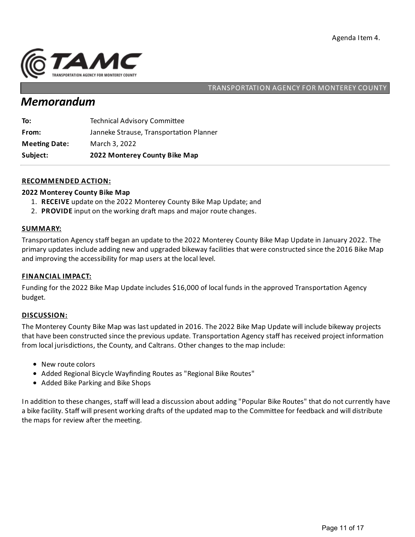

## *Memorandum*

| Subject:             | 2022 Monterey County Bike Map           |
|----------------------|-----------------------------------------|
| <b>Meeting Date:</b> | March 3, 2022                           |
| From:                | Janneke Strause, Transportation Planner |
| To:                  | <b>Technical Advisory Committee</b>     |

#### **RECOMMENDED ACTION:**

#### **2022 Monterey County Bike Map**

- 1. **RECEIVE** update on the 2022 Monterey County Bike Map Update;and
- 2. **PROVIDE** input on the working draft maps and major route changes.

#### **SUMMARY:**

Transportation Agency staff began an update to the 2022 Monterey County Bike Map Update in January 2022. The primary updates include adding new and upgraded bikeway facilities that were constructed since the 2016 Bike Map and improving the accessibility for map users at the local level.

#### **FINANCIAL IMPACT:**

Funding for the 2022 Bike Map Update includes \$16,000 of local funds in the approved Transportation Agency budget.

#### **DISCUSSION:**

The Monterey County Bike Map was last updated in 2016. The 2022 Bike Map Update will include bikeway projects that have been constructed since the previous update. Transportation Agency staff has received project information from local jurisdictions, the County, and Caltrans. Other changes to the map include:

- New route colors
- Added Regional Bicycle Wayfinding Routes as "Regional Bike Routes"
- Added Bike Parking and Bike Shops

In addition to these changes, staff will lead a discussion about adding "Popular Bike Routes" that do not currently have a bike facility. Staff will present working drafts of the updated map to the Committee for feedback and will distribute the maps for review after the meeting.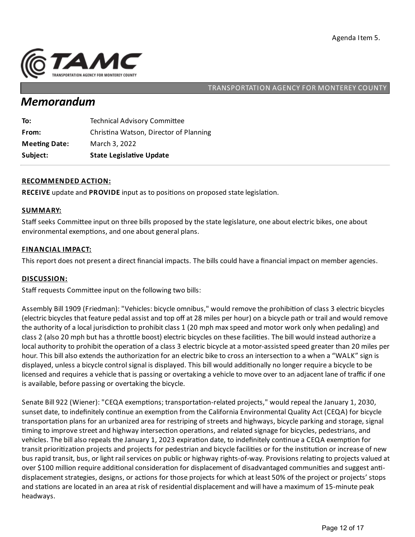

## *Memorandum*

| Subject:             | <b>State Legislative Update</b>        |
|----------------------|----------------------------------------|
| <b>Meeting Date:</b> | March 3, 2022                          |
| From:                | Christina Watson, Director of Planning |
| To:                  | <b>Technical Advisory Committee</b>    |

#### **RECOMMENDED ACTION:**

**RECEIVE** update and **PROVIDE** input as to positions on proposed state legislation.

#### **SUMMARY:**

Staff seeks Committee input on three bills proposed by the state legislature, one about electric bikes, one about environmental exemptions, and one about general plans.

#### **FINANCIAL IMPACT:**

This report does not present a direct financial impacts. The bills could have a financial impact on member agencies.

#### **DISCUSSION:**

Staff requests Committee input on the following two bills:

Assembly Bill 1909 (Friedman): "Vehicles: bicycle omnibus," would remove the prohibition of class 3 electric bicycles (electric bicycles that feature pedalassistand top off at 28 miles per hour) on a bicycle path or trailand would remove the authority of a local jurisdiction to prohibit class 1 (20 mph max speed and motor work only when pedaling) and class 2 (also 20 mph but has a throttle boost) electric bicycles on these facilities. The bill would instead authorize a local authority to prohibit the operation of a class 3 electric bicycle at a motor-assisted speed greater than 20 miles per hour. This bill also extends the authorization for an electric bike to cross an intersection to a when a "WALK" sign is displayed, unless a bicycle control signal is displayed. This bill would additionally no longer require a bicycle to be licensed and requires a vehicle that is passing or overtaking a vehicle to move over to an adjacent lane of traffic if one is available, before passing or overtaking the bicycle.

Senate Bill 922 (Wiener): "CEQA exemptions; transportation-related projects," would repeal the January 1, 2030, sunset date, to indefinitely continue an exemption from the California Environmental Quality Act (CEQA) for bicycle transportation plans for an urbanized area for restriping of streets and highways, bicycle parking and storage, signal timing to improve street and highway intersection operations, and related signage for bicycles, pedestrians, and vehicles. The bill also repeals the January 1, 2023 expiration date, to indefinitely continue a CEQA exemption for transit prioritization projects and projects for pedestrian and bicycle facilities or for the institution or increase of new bus rapid transit, bus, or light rail services on public or highway rights-of-way. Provisions relating to projects valued at over \$100 million require additional consideration for displacement of disadvantaged communities and suggest antidisplacement strategies, designs, or actions for those projects for which at least 50% of the project or projects' stops and stations are located in an area at risk of residential displacement and will have a maximum of 15-minute peak headways.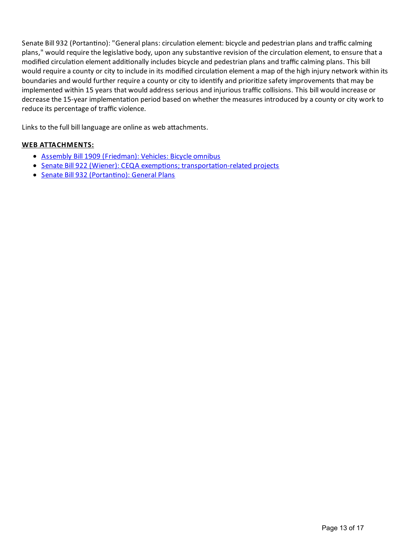Senate Bill 932 (Portantino): "General plans: circulation element: bicycle and pedestrian plans and traffic calming plans," would require the legislative body, upon any substantive revision of the circulation element, to ensure that a modified circulation element additionally includes bicycle and pedestrian plans and traffic calming plans. This bill would require a county or city to include in its modified circulation element a map of the high injury network within its boundaries and would further require a county or city to identify and prioritize safety improvements that may be implemented within 15 years that would address serious and injurious traffic collisions. This bill would increase or decrease the 15-year implementation period based on whether the measures introduced by a county or city work to reduce its percentage of traffic violence.

Links to the full bill language are online as web attachments.

#### **WEB ATTACHMENTS:**

- Assembly Bill 1909 [\(Friedman\):](https://leginfo.legislature.ca.gov/faces/billNavClient.xhtml?bill_id=202120220AB1909) Vehicles: Bicycle omnibus
- Senate Bill 922 (Wiener): CEQA exemptions; transportation-related projects
- Senate Bill 932 (Portantino): General Plans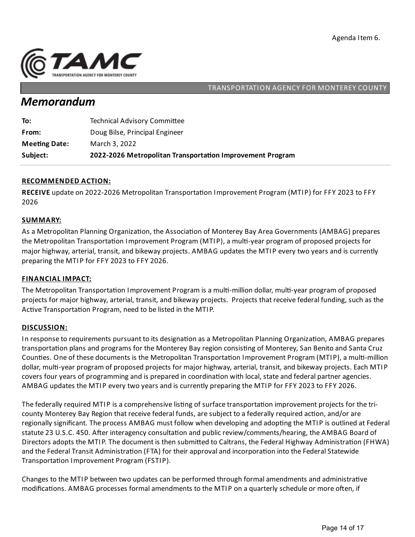

## *Memorandum*

| <b>Meeting Date:</b><br>March 3, 2022 |  |
|---------------------------------------|--|
|                                       |  |

#### **RECOMMENDED ACTION:**

RECEIVE update on 2022-2026 Metropolitan Transportation Improvement Program (MTIP) for FFY 2023 to FFY 2026

#### **SUMMARY:**

As a Metropolitan Planning Organization, the Association of Monterey Bay Area Governments (AMBAG) prepares the Metropolitan Transportation Improvement Program (MTIP), a multi-year program of proposed projects for major highway, arterial, transit, and bikeway projects. AMBAG updates the MTIP every two years and is currently preparing the MTIP for FFY 2023 to FFY 2026.

#### **FINANCIAL IMPACT:**

The Metropolitan Transportation Improvement Program is a multi-million dollar, multi-year program of proposed projects for major highway, arterial, transit, and bikeway projects. Projects that receive federal funding, such as the Active Transportation Program, need to be listed in the MTIP.

#### **DISCUSSION:**

In response to requirements pursuant to its designation as a Metropolitan Planning Organization, AMBAG prepares transportation plans and programs for the Monterey Bay region consisting of Monterey, San Benito and Santa Cruz Counties. One of these documents is the Metropolitan Transportation Improvement Program (MTIP), a multi-million dollar, multi-year program of proposed projects for major highway, arterial, transit, and bikeway projects. Each MTIP covers four years of programming and is prepared in coordination with local, state and federal partner agencies. AMBAG updates the MTIP every two years and is currently preparingthe MTIP for FFY 2023 to FFY 2026.

The federally required MTIP is a comprehensive listing of surface transportation improvement projects for the tricounty Monterey Bay Region that receive federal funds, are subject to a federally required action, and/or are regionally significant. The process AMBAG must follow when developing and adopting the MTIP is outlined at Federal statute 23 U.S.C. 450. After interagency consultation and public review/comments/hearing, the AMBAG Board of Directors adopts the MTIP. The document is then submitted to Caltrans, the Federal Highway Administration (FHWA) and the Federal Transit Administration (FTA) for their approval and incorporation into the Federal Statewide Transportation Improvement Program (FSTIP).

Changes to the MTIP between two updates can be performed through formal amendments and administrative modifications. AMBAG processes formal amendments to the MTIP on a quarterly schedule or more often, if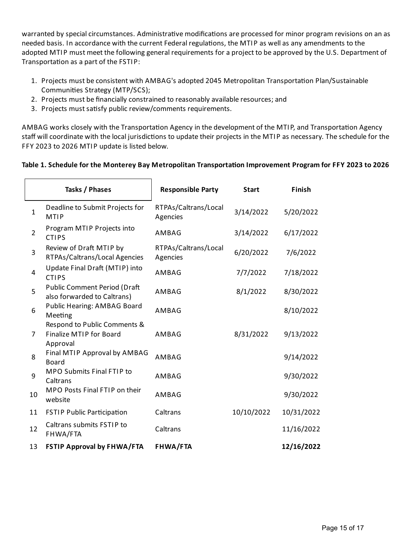warranted by special circumstances. Administrative modifications are processed for minor program revisions on an as needed basis. In accordance with the current Federal regulations, the MTIP as well as any amendments to the adopted MTIP must meet the following general requirements for a project to be approved by the U.S. Department of Transportation as a part of the FSTIP:

- 1. Projects must be consistent with AMBAG's adopted 2045 Metropolitan Transportation Plan/Sustainable Communities Strategy (MTP/SCS);
- 2. Projects must be financially constrained to reasonably available resources; and
- 3. Projects must satisfy public review/comments requirements.

AMBAG works closely with the Transportation Agency in the development of the MTIP, and Transportation Agency staff will coordinate with the local jurisdictions to update their projects in the MTIP as necessary. The schedule for the FFY 2023 to 2026 MTIP update is listed below.

### **Table 1.Schedule for the Monterey Bay Metropolitan Transporta on Improvement Programfor FFY 2023 to 2026**

|                | Tasks / Phases                                                             | <b>Responsible Party</b>         | <b>Start</b> | Finish     |  |
|----------------|----------------------------------------------------------------------------|----------------------------------|--------------|------------|--|
| $\mathbf{1}$   | Deadline to Submit Projects for<br><b>MTIP</b>                             | RTPAs/Caltrans/Local<br>Agencies | 3/14/2022    | 5/20/2022  |  |
| $\overline{2}$ | Program MTIP Projects into<br><b>CTIPS</b>                                 | AMBAG                            | 3/14/2022    | 6/17/2022  |  |
| 3              | Review of Draft MTIP by<br>RTPAs/Caltrans/Local Agencies                   | RTPAs/Caltrans/Local<br>Agencies | 6/20/2022    | 7/6/2022   |  |
| 4              | Update Final Draft (MTIP) into<br><b>CTIPS</b>                             | AMBAG                            | 7/7/2022     | 7/18/2022  |  |
| 5              | <b>Public Comment Period (Draft</b><br>also forwarded to Caltrans)         | AMBAG                            | 8/1/2022     | 8/30/2022  |  |
| 6              | Public Hearing: AMBAG Board<br>Meeting                                     | AMBAG                            |              | 8/10/2022  |  |
| 7              | Respond to Public Comments &<br><b>Finalize MTIP for Board</b><br>Approval | AMBAG                            | 8/31/2022    | 9/13/2022  |  |
| 8              | Final MTIP Approval by AMBAG<br><b>Board</b>                               | AMBAG                            |              | 9/14/2022  |  |
| 9              | MPO Submits Final FTIP to<br>Caltrans                                      | AMBAG                            |              | 9/30/2022  |  |
| 10             | MPO Posts Final FTIP on their<br>website                                   | AMBAG                            |              | 9/30/2022  |  |
| 11             | <b>FSTIP Public Participation</b>                                          | Caltrans                         | 10/10/2022   | 10/31/2022 |  |
| 12             | Caltrans submits FSTIP to<br>FHWA/FTA                                      | Caltrans                         |              | 11/16/2022 |  |
| 13             | <b>FSTIP Approval by FHWA/FTA</b>                                          | <b>FHWA/FTA</b>                  |              | 12/16/2022 |  |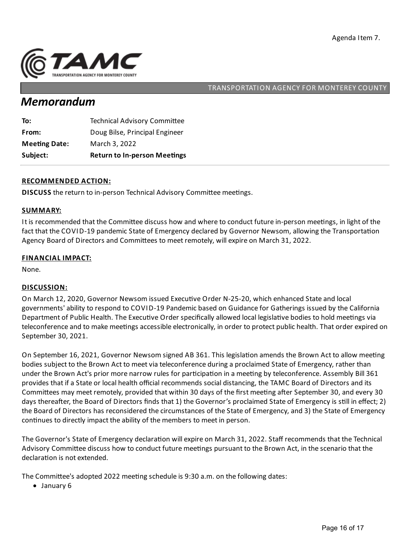

## *Memorandum*

| Subject:             | <b>Return to In-person Meetings</b> |
|----------------------|-------------------------------------|
| <b>Meeting Date:</b> | March 3, 2022                       |
| From:                | Doug Bilse, Principal Engineer      |
| To:                  | <b>Technical Advisory Committee</b> |

#### **RECOMMENDED ACTION:**

**DISCUSS** the return to in-person Technical Advisory Committee meetings.

#### **SUMMARY:**

It is recommended that the Committee discuss how and where to conduct future in-person meetings, in light of the fact that the COVID-19 pandemic State of Emergency declared by Governor Newsom, allowing the Transportation Agency Board of Directors and Committees to meet remotely, will expire on March 31, 2022.

#### **FINANCIAL IMPACT:**

None.

#### **DISCUSSION:**

On March 12, 2020, Governor Newsom issued Executive Order N-25-20, which enhanced State and local governments'ability to respond to COVID-19 Pandemic based on Guidance for Gatherings issued by the California Department of Public Health. The Executive Order specifically allowed local legislative bodies to hold meetings via teleconference and to make meetings accessible electronically, in order to protect public health. That order expired on September 30, 2021.

On September 16, 2021, Governor Newsom signed AB 361. This legislation amends the Brown Act to allow meeting bodies subject to the Brown Act to meet via teleconference during a proclaimed State of Emergency, rather than under the Brown Act's prior more narrow rules for participation in a meeting by teleconference. Assembly Bill 361 provides that if a State or local health official recommends social distancing, the TAMC Board of Directors and its Committees may meet remotely, provided that within 30 days of the first meeting after September 30, and every 30 days thereafter, the Board of Directors finds that 1) the Governor's proclaimed State of Emergency is still in effect; 2) the Board of Directors has reconsidered the circumstances of the State of Emergency, and 3) the State of Emergency continues to directly impact the ability of the members to meet in person.

The Governor's State of Emergency declaration will expire on March 31, 2022. Staff recommends that the Technical Advisory Committee discuss how to conduct future meetings pursuant to the Brown Act, in the scenario that the declaration is not extended.

The Committee's adopted 2022 meeting schedule is 9:30 a.m. on the following dates:

• January 6